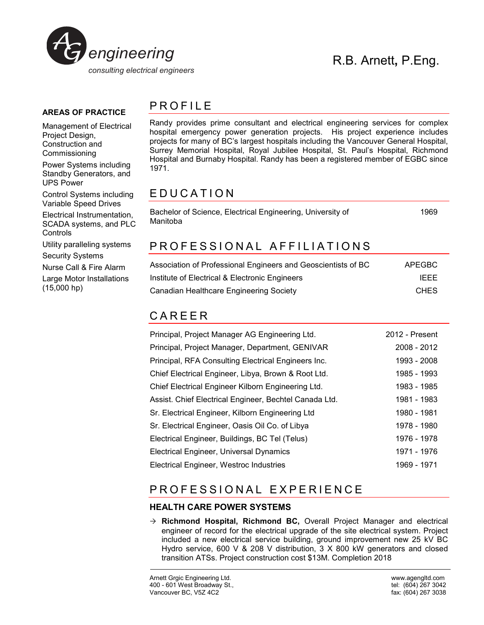

#### **AREAS OF PRACTICE**

Management of Electrical Project Design, Construction and Commissioning

Power Systems including Standby Generators, and UPS Power

Control Systems including Variable Speed Drives

Electrical Instrumentation, SCADA systems, and PLC **Controls** 

Utility paralleling systems

Security Systems

Nurse Call & Fire Alarm

Large Motor Installations (15,000 hp)

## PROFILE

Randy provides prime consultant and electrical engineering services for complex hospital emergency power generation projects. His project experience includes projects for many of BC's largest hospitals including the Vancouver General Hospital, Surrey Memorial Hospital, Royal Jubilee Hospital, St. Paul's Hospital, Richmond Hospital and Burnaby Hospital. Randy has been a registered member of EGBC since 1971.

## E D U C A T I O N

Bachelor of Science, Electrical Engineering, University of Manitoba 1969

# PROFESSIONAL AFFILIATIONS

| Association of Professional Engineers and Geoscientists of BC | APEGBC      |
|---------------------------------------------------------------|-------------|
| Institute of Electrical & Electronic Engineers                | <b>IFFF</b> |
| Canadian Healthcare Engineering Society                       | <b>CHES</b> |

## C A R E E R

| Principal, Project Manager AG Engineering Ltd.         | 2012 - Present |
|--------------------------------------------------------|----------------|
| Principal, Project Manager, Department, GENIVAR        | 2008 - 2012    |
| Principal, RFA Consulting Electrical Engineers Inc.    | 1993 - 2008    |
| Chief Electrical Engineer, Libya, Brown & Root Ltd.    | 1985 - 1993    |
| Chief Electrical Engineer Kilborn Engineering Ltd.     | 1983 - 1985    |
| Assist. Chief Electrical Engineer, Bechtel Canada Ltd. | 1981 - 1983    |
| Sr. Electrical Engineer, Kilborn Engineering Ltd       | 1980 - 1981    |
| Sr. Electrical Engineer, Oasis Oil Co. of Libya        | 1978 - 1980    |
| Electrical Engineer, Buildings, BC Tel (Telus)         | 1976 - 1978    |
| Electrical Engineer, Universal Dynamics                | 1971 - 1976    |
| Electrical Engineer, Westroc Industries                | 1969 - 1971    |

# PROFESSIONAL EXPERIENCE

## **HEALTH CARE POWER SYSTEMS**

 **Richmond Hospital, Richmond BC,** Overall Project Manager and electrical engineer of record for the electrical upgrade of the site electrical system. Project included a new electrical service building, ground improvement new 25 kV BC Hydro service, 600 V & 208 V distribution, 3 X 800 kW generators and closed transition ATSs. Project construction cost \$13M. Completion 2018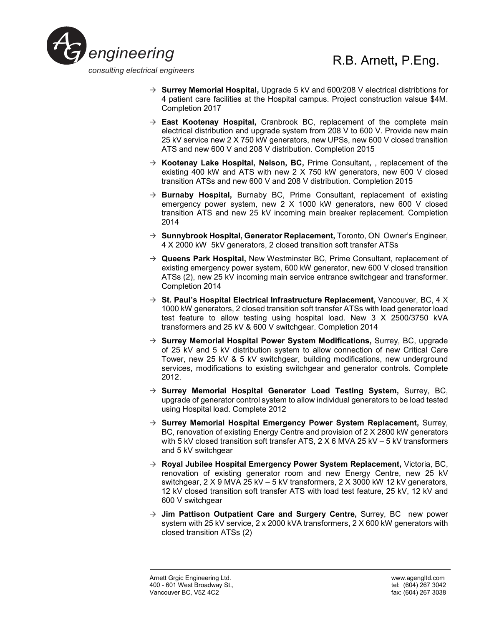

# R.B. Arnett**,** P.Eng.

- **Surrey Memorial Hospital,** Upgrade 5 kV and 600/208 V electrical distribtions for 4 patient care facilities at the Hospital campus. Project construction valsue \$4M. Completion 2017
- **East Kootenay Hospital,** Cranbrook BC, replacement of the complete main electrical distribution and upgrade system from 208 V to 600 V. Provide new main 25 kV service new 2 X 750 kW generators, new UPSs, new 600 V closed transition ATS and new 600 V and 208 V distribution. Completion 2015
- **Kootenay Lake Hospital, Nelson, BC,** Prime Consultant**,** , replacement of the existing 400 kW and ATS with new 2 X 750 kW generators, new 600 V closed transition ATSs and new 600 V and 208 V distribution. Completion 2015
- **Burnaby Hospital,** Burnaby BC, Prime Consultant, replacement of existing emergency power system, new 2 X 1000 kW generators, new 600 V closed transition ATS and new 25 kV incoming main breaker replacement. Completion 2014
- **Sunnybrook Hospital, Generator Replacement,** Toronto, ON Owner's Engineer, 4 X 2000 kW 5kV generators, 2 closed transition soft transfer ATSs
- **Queens Park Hospital,** New Westminster BC, Prime Consultant, replacement of existing emergency power system, 600 kW generator, new 600 V closed transition ATSs (2), new 25 kV incoming main service entrance switchgear and transformer. Completion 2014
- **St. Paul's Hospital Electrical Infrastructure Replacement,** Vancouver, BC, 4 X 1000 kW generators, 2 closed transition soft transfer ATSs with load generator load test feature to allow testing using hospital load. New 3 X 2500/3750 kVA transformers and 25 kV & 600 V switchgear. Completion 2014
- **Surrey Memorial Hospital Power System Modifications,** Surrey, BC, upgrade of 25 kV and 5 kV distribution system to allow connection of new Critical Care Tower, new 25 kV & 5 kV switchgear, building modifications, new underground services, modifications to existing switchgear and generator controls. Complete 2012.
- **Surrey Memorial Hospital Generator Load Testing System,** Surrey, BC, upgrade of generator control system to allow individual generators to be load tested using Hospital load. Complete 2012
- **Surrey Memorial Hospital Emergency Power System Replacement,** Surrey, BC, renovation of existing Energy Centre and provision of 2 X 2800 kW generators with 5 kV closed transition soft transfer ATS,  $2 \times 6$  MVA 25 kV – 5 kV transformers and 5 kV switchgear
- **Royal Jubilee Hospital Emergency Power System Replacement,** Victoria, BC, renovation of existing generator room and new Energy Centre, new 25 kV switchgear, 2 X 9 MVA 25 kV – 5 kV transformers, 2 X 3000 kW 12 kV generators, 12 kV closed transition soft transfer ATS with load test feature, 25 kV, 12 kV and 600 V switchgear
- **Jim Pattison Outpatient Care and Surgery Centre,** Surrey, BC new power system with 25 kV service, 2 x 2000 kVA transformers, 2 X 600 kW generators with closed transition ATSs (2)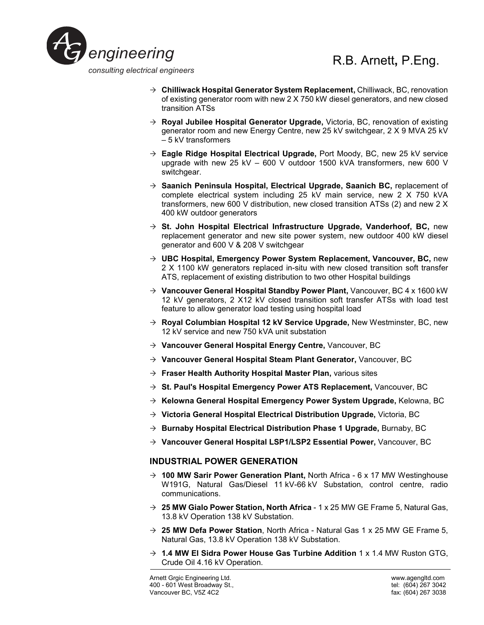

- **Chilliwack Hospital Generator System Replacement,** Chilliwack, BC, renovation of existing generator room with new 2 X 750 kW diesel generators, and new closed transition ATSs
- **Royal Jubilee Hospital Generator Upgrade,** Victoria, BC, renovation of existing generator room and new Energy Centre, new 25 kV switchgear, 2 X 9 MVA 25 kV – 5 kV transformers
- **Eagle Ridge Hospital Electrical Upgrade,** Port Moody, BC, new 25 kV service upgrade with new 25 kV – 600 V outdoor 1500 kVA transformers, new 600 V switchgear.
- **Saanich Peninsula Hospital, Electrical Upgrade, Saanich BC,** replacement of complete electrical system including 25 kV main service, new 2 X 750 kVA transformers, new 600 V distribution, new closed transition ATSs (2) and new 2 X 400 kW outdoor generators
- **St. John Hospital Electrical Infrastructure Upgrade, Vanderhoof, BC,** new replacement generator and new site power system, new outdoor 400 kW diesel generator and 600 V & 208 V switchgear
- **UBC Hospital, Emergency Power System Replacement, Vancouver, BC,** new 2 X 1100 kW generators replaced in-situ with new closed transition soft transfer ATS, replacement of existing distribution to two other Hospital buildings
- → Vancouver General Hospital Standby Power Plant, Vancouver, BC 4 x 1600 kW 12 kV generators, 2 X12 kV closed transition soft transfer ATSs with load test feature to allow generator load testing using hospital load
- **Royal Columbian Hospital 12 kV Service Upgrade,** New Westminster, BC, new 12 kV service and new 750 kVA unit substation
- **Vancouver General Hospital Energy Centre,** Vancouver, BC
- **Vancouver General Hospital Steam Plant Generator,** Vancouver, BC
- **Fraser Health Authority Hospital Master Plan,** various sites
- **St. Paul's Hospital Emergency Power ATS Replacement,** Vancouver, BC
- **Kelowna General Hospital Emergency Power System Upgrade,** Kelowna, BC
- **Victoria General Hospital Electrical Distribution Upgrade,** Victoria, BC
- → **Burnaby Hospital Electrical Distribution Phase 1 Upgrade, Burnaby, BC**
- → **Vancouver General Hospital LSP1/LSP2 Essential Power,** Vancouver, BC

### **INDUSTRIAL POWER GENERATION**

- → **100 MW Sarir Power Generation Plant,** North Africa 6 x 17 MW Westinghouse W191G, Natural Gas/Diesel 11 kV-66 kV Substation, control centre, radio communications.
- $\rightarrow$  25 MW Gialo Power Station, North Africa 1 x 25 MW GE Frame 5, Natural Gas, 13.8 kV Operation 138 kV Substation.
- **25 MW Defa Power Station**, North Africa Natural Gas 1 x 25 MW GE Frame 5, Natural Gas, 13.8 kV Operation 138 kV Substation.
- **1.4 MW El Sidra Power House Gas Turbine Addition** 1 x 1.4 MW Ruston GTG, Crude Oil 4.16 kV Operation.